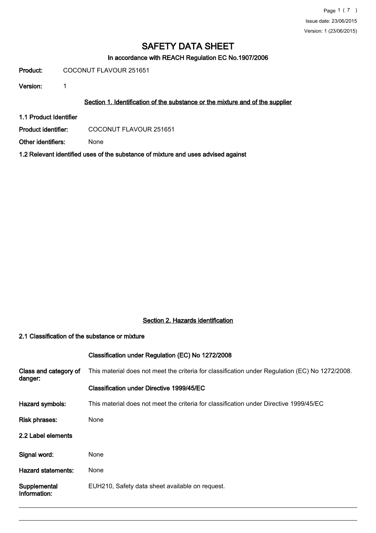In accordance with REACH Regulation EC No.1907/2006

Product: COCONUT FLAVOUR 251651

Version: 1

## Section 1. Identification of the substance or the mixture and of the supplier

1.1 Product Identifier

Product identifier: COCONUT FLAVOUR 251651

Other identifiers: None

1.2 Relevant identified uses of the substance of mixture and uses advised against

# Section 2. Hazards identification

#### 2.1 Classification of the substance or mixture

# Classification under Regulation (EC) No 1272/2008

| Class and category of<br>danger: | This material does not meet the criteria for classification under Regulation (EC) No 1272/2008. |
|----------------------------------|-------------------------------------------------------------------------------------------------|
|                                  | Classification under Directive 1999/45/EC                                                       |
| Hazard symbols:                  | This material does not meet the criteria for classification under Directive 1999/45/EC          |
| <b>Risk phrases:</b>             | None                                                                                            |
| 2.2 Label elements               |                                                                                                 |
| Signal word:                     | None                                                                                            |
| Hazard statements:               | None                                                                                            |
| Supplemental<br>Information:     | EUH210, Safety data sheet available on request.                                                 |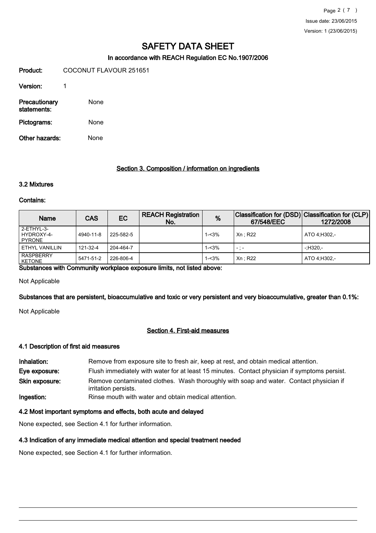## In accordance with REACH Regulation EC No.1907/2006

Product: COCONUT FLAVOUR 251651 Version: 1 Precautionary None statements: Pictograms: None

Other hazards: None

#### Section 3. Composition / information on ingredients

# 3.2 Mixtures

#### Contains:

| Name                                     | <b>CAS</b> | EC        | <b>REACH Registration</b><br>No. | %        | Classification for (DSD) Classification for (CLP)<br>67/548/EEC | 1272/2008    |
|------------------------------------------|------------|-----------|----------------------------------|----------|-----------------------------------------------------------------|--------------|
| l 2-ETHYL-3-<br>l HYDROXY-4-<br>I PYRONE | 4940-11-8  | 225-582-5 |                                  | 1-<3%    | Xn: R22                                                         | ATO 4:H302.- |
| l ETHYL VANILLIN                         | 121-32-4   | 204-464-7 |                                  | $1 - 3%$ | $-$ : $-$                                                       | $-11320 -$   |
| <b>RASPBERRY</b><br>KETONE               | 5471-51-2  | 226-806-4 |                                  | $1 - 3%$ | Xn: R22                                                         | ATO 4:H302.- |

Substances with Community workplace exposure limits, not listed above:

Not Applicable

Substances that are persistent, bioaccumulative and toxic or very persistent and very bioaccumulative, greater than 0.1%:

Not Applicable

#### Section 4. First-aid measures

#### 4.1 Description of first aid measures

| Inhalation:    | Remove from exposure site to fresh air, keep at rest, and obtain medical attention.                            |  |  |
|----------------|----------------------------------------------------------------------------------------------------------------|--|--|
| Eye exposure:  | Flush immediately with water for at least 15 minutes. Contact physician if symptoms persist.                   |  |  |
| Skin exposure: | Remove contaminated clothes. Wash thoroughly with soap and water. Contact physician if<br>irritation persists. |  |  |
| Ingestion:     | Rinse mouth with water and obtain medical attention.                                                           |  |  |

#### 4.2 Most important symptoms and effects, both acute and delayed

None expected, see Section 4.1 for further information.

# 4.3 Indication of any immediate medical attention and special treatment needed

None expected, see Section 4.1 for further information.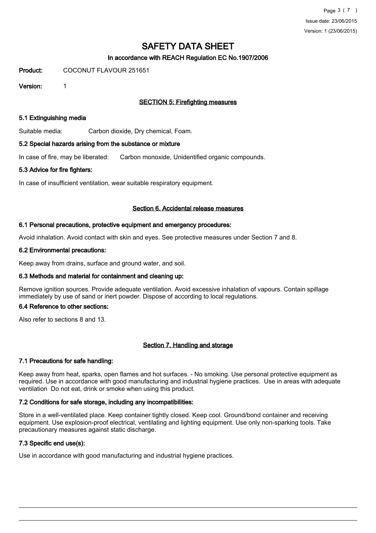# In accordance with REACH Regulation EC No.1907/2006

Product: COCONUT FLAVOUR 251651

Version: 1

# SECTION 5: Firefighting measures

## 5.1 Extinguishing media

Suitable media: Carbon dioxide, Dry chemical, Foam.

## 5.2 Special hazards arising from the substance or mixture

In case of fire, may be liberated: Carbon monoxide, Unidentified organic compounds.

## 5.3 Advice for fire fighters:

In case of insufficient ventilation, wear suitable respiratory equipment.

## Section 6. Accidental release measures

## 6.1 Personal precautions, protective equipment and emergency procedures:

Avoid inhalation. Avoid contact with skin and eyes. See protective measures under Section 7 and 8.

## 6.2 Environmental precautions:

Keep away from drains, surface and ground water, and soil.

# 6.3 Methods and material for containment and cleaning up:

Remove ignition sources. Provide adequate ventilation. Avoid excessive inhalation of vapours. Contain spillage immediately by use of sand or inert powder. Dispose of according to local regulations.

#### 6.4 Reference to other sections:

Also refer to sections 8 and 13.

# Section 7. Handling and storage

# 7.1 Precautions for safe handling:

Keep away from heat, sparks, open flames and hot surfaces. - No smoking. Use personal protective equipment as required. Use in accordance with good manufacturing and industrial hygiene practices. Use in areas with adequate ventilation Do not eat, drink or smoke when using this product.

# 7.2 Conditions for safe storage, including any incompatibilities:

Store in a well-ventilated place. Keep container tightly closed. Keep cool. Ground/bond container and receiving equipment. Use explosion-proof electrical, ventilating and lighting equipment. Use only non-sparking tools. Take precautionary measures against static discharge.

# 7.3 Specific end use(s):

Use in accordance with good manufacturing and industrial hygiene practices.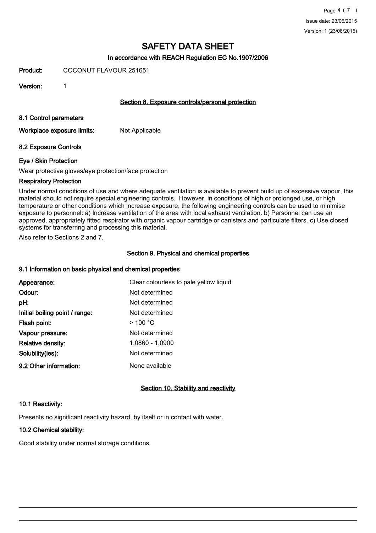## In accordance with REACH Regulation EC No.1907/2006

Product: COCONUT FLAVOUR 251651

Version: 1

#### Section 8. Exposure controls/personal protection

### 8.1 Control parameters

Workplace exposure limits: Not Applicable

## 8.2 Exposure Controls

## Eye / Skin Protection

Wear protective gloves/eye protection/face protection

## Respiratory Protection

Under normal conditions of use and where adequate ventilation is available to prevent build up of excessive vapour, this material should not require special engineering controls. However, in conditions of high or prolonged use, or high temperature or other conditions which increase exposure, the following engineering controls can be used to minimise exposure to personnel: a) Increase ventilation of the area with local exhaust ventilation. b) Personnel can use an approved, appropriately fitted respirator with organic vapour cartridge or canisters and particulate filters. c) Use closed systems for transferring and processing this material.

Also refer to Sections 2 and 7.

## Section 9. Physical and chemical properties

#### 9.1 Information on basic physical and chemical properties

| Appearance:                    | Clear colourless to pale yellow liquid |
|--------------------------------|----------------------------------------|
| Odour:                         | Not determined                         |
| pH:                            | Not determined                         |
| Initial boiling point / range: | Not determined                         |
| Flash point:                   | $>$ 100 °C                             |
| Vapour pressure:               | Not determined                         |
| <b>Relative density:</b>       | 1.0860 - 1.0900                        |
| Solubility(ies):               | Not determined                         |
| 9.2 Other information:         | None available                         |

# Section 10. Stability and reactivity

#### 10.1 Reactivity:

Presents no significant reactivity hazard, by itself or in contact with water.

# 10.2 Chemical stability:

Good stability under normal storage conditions.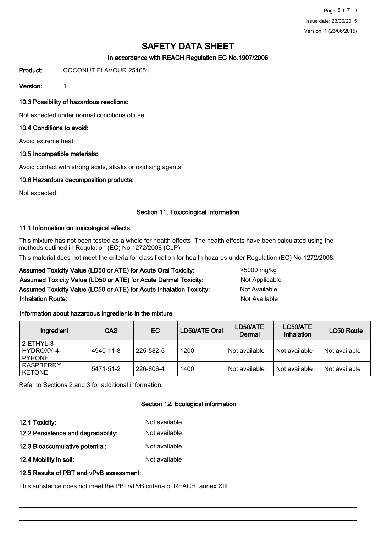Page 5 ( 7 ) Issue date: 23/06/2015 Version: 1 (23/06/2015)

# SAFETY DATA SHEET

# In accordance with REACH Regulation EC No.1907/2006

Product: COCONUT FLAVOUR 251651

Version: 1

## 10.3 Possibility of hazardous reactions:

Not expected under normal conditions of use.

## 10.4 Conditions to avoid:

Avoid extreme heat.

## 10.5 Incompatible materials:

Avoid contact with strong acids, alkalis or oxidising agents.

## 10.6 Hazardous decomposition products:

Not expected.

## Section 11. Toxicological information

#### 11.1 Information on toxicological effects

This mixture has not been tested as a whole for health effects. The health effects have been calculated using the methods outlined in Regulation (EC) No 1272/2008 (CLP).

This material does not meet the criteria for classification for health hazards under Regulation (EC) No 1272/2008.

# Assumed Toxicity Value (LD50 or ATE) for Acute Oral Toxicity: >5000 mg/kg Assumed Toxicity Value (LD50 or ATE) for Acute Dermal Toxicity: Not Applicable Assumed Toxicity Value (LC50 or ATE) for Acute Inhalation Toxicity: Not Available **Inhalation Route:** Not Available in the set of the set of the set of the set of the set of the set of the set of the set of the set of the set of the set of the set of the set of the set of the set of the set of the set o

#### Information about hazardous ingredients in the mixture

| Ingredient                                  | <b>CAS</b> | EC.       | LD50/ATE Oral | LD50/ATE<br>Dermal | LC50/ATE<br>Inhalation | <b>LC50 Route</b> |
|---------------------------------------------|------------|-----------|---------------|--------------------|------------------------|-------------------|
| l 2-ETHYL-3-<br>HYDROXY-4-<br><b>PYRONE</b> | 4940-11-8  | 225-582-5 | 1200          | Not available      | Not available          | Not available     |
| <b>RASPBERRY</b><br><b>KETONE</b>           | 5471-51-2  | 226-806-4 | 1400          | Not available      | Not available          | Not available     |

Refer to Sections 2 and 3 for additional information.

# Section 12. Ecological information

| 12.1 Toxicity:                      | Not available |
|-------------------------------------|---------------|
| 12.2 Persistence and degradability: | Not available |
| 12.3 Bioaccumulative potential:     | Not available |
| 12.4 Mobility in soil:              | Not available |

#### 12.5 Results of PBT and vPvB assessment:

This substance does not meet the PBT/vPvB criteria of REACH, annex XIII.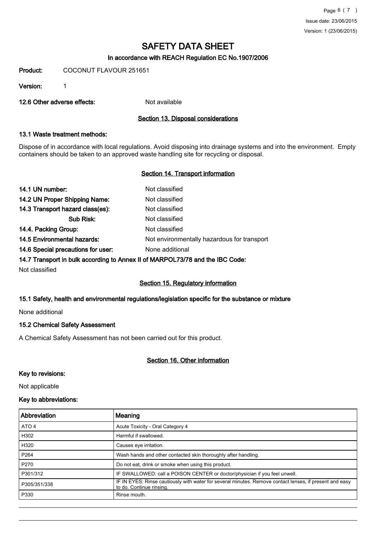# In accordance with REACH Regulation EC No.1907/2006

Product: COCONUT FLAVOUR 251651

Version: 1

12.6 Other adverse effects: Not available

## Section 13. Disposal considerations

# 13.1 Waste treatment methods:

Dispose of in accordance with local regulations. Avoid disposing into drainage systems and into the environment. Empty containers should be taken to an approved waste handling site for recycling or disposal.

## Section 14. Transport information

| Not classified                              |
|---------------------------------------------|
| Not classified                              |
| Not classified                              |
| Not classified                              |
| Not classified                              |
| Not environmentally hazardous for transport |
| None additional                             |
|                                             |

## 14.7 Transport in bulk according to Annex II of MARPOL73/78 and the IBC Code:

Not classified

# Section 15. Regulatory information

#### 15.1 Safety, health and environmental regulations/legislation specific for the substance or mixture

None additional

#### 15.2 Chemical Safety Assessment

A Chemical Safety Assessment has not been carried out for this product.

# Section 16. Other information

#### Key to revisions:

Not applicable

## Key to abbreviations:

| Abbreviation     | Meaning                                                                                                                             |
|------------------|-------------------------------------------------------------------------------------------------------------------------------------|
| ATO 4            | Acute Toxicity - Oral Category 4                                                                                                    |
| H302             | Harmful if swallowed.                                                                                                               |
| H320             | Causes eve irritation.                                                                                                              |
| P <sub>264</sub> | Wash hands and other contacted skin thoroughly after handling.                                                                      |
| P270             | Do not eat, drink or smoke when using this product.                                                                                 |
| P301/312         | IF SWALLOWED: call a POISON CENTER or doctor/physician if you feel unwell.                                                          |
| P305/351/338     | IF IN EYES: Rinse cautiously with water for several minutes. Remove contact lenses, if present and easy<br>to do. Continue rinsing. |
| P330             | Rinse mouth.                                                                                                                        |